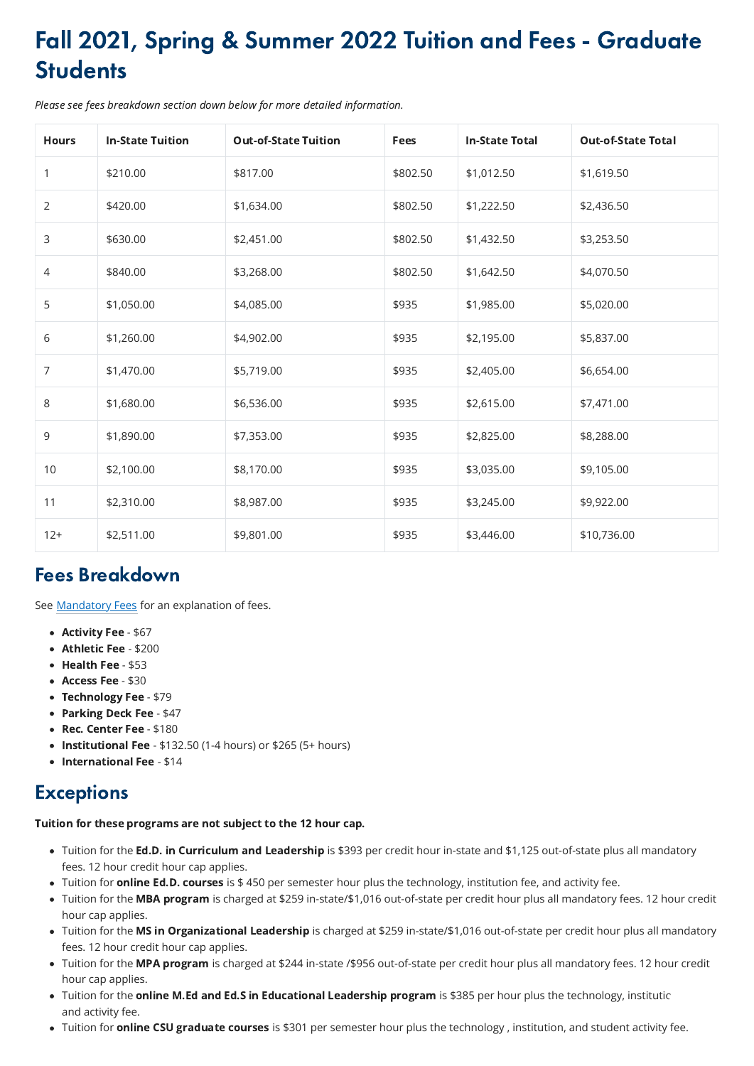## Fall 2021, Spring & Summer 2022 Tuition and Fees - Graduate **Students**

Please see fees breakdown section down below for more detailed information.

| <b>Hours</b>   | <b>In-State Tuition</b> | <b>Out-of-State Tuition</b> | <b>Fees</b> | <b>In-State Total</b> | <b>Out-of-State Total</b> |
|----------------|-------------------------|-----------------------------|-------------|-----------------------|---------------------------|
| 1              | \$210.00                | \$817.00                    | \$802.50    | \$1,012.50            | \$1,619.50                |
| $\overline{2}$ | \$420.00                | \$1,634.00                  | \$802.50    | \$1,222.50            | \$2,436.50                |
| $\mathsf{3}$   | \$630.00                | \$2,451.00                  | \$802.50    | \$1,432.50            | \$3,253.50                |
| 4              | \$840.00                | \$3,268.00                  | \$802.50    | \$1,642.50            | \$4,070.50                |
| 5              | \$1,050.00              | \$4,085.00                  | \$935       | \$1,985.00            | \$5,020.00                |
| 6              | \$1,260.00              | \$4,902.00                  | \$935       | \$2,195.00            | \$5,837.00                |
| $\overline{7}$ | \$1,470.00              | \$5,719.00                  | \$935       | \$2,405.00            | \$6,654.00                |
| $8\,$          | \$1,680.00              | \$6,536.00                  | \$935       | \$2,615.00            | \$7,471.00                |
| 9              | \$1,890.00              | \$7,353.00                  | \$935       | \$2,825.00            | \$8,288.00                |
| $10\,$         | \$2,100.00              | \$8,170.00                  | \$935       | \$3,035.00            | \$9,105.00                |
| 11             | \$2,310.00              | \$8,987.00                  | \$935       | \$3,245.00            | \$9,922.00                |
| $12+$          | \$2,511.00              | \$9,801.00                  | \$935       | \$3,446.00            | \$10,736.00               |

## Fees Breakdown

See **Mandatory Fees** for an explanation of fees.

- Activity Fee \$67
- Athletic Fee \$200
- $\bullet$  Health Fee \$53
- Access Fee \$30
- Technology Fee \$79
- Parking Deck Fee \$47
- Rec. Center Fee \$180
- Institutional Fee  $$132.50$  (1-4 hours) or  $$265$  (5+ hours)
- International Fee \$14

## **Exceptions**

## Tuition for these programs are not subject to the 12 hour cap.

- Tuition for the Ed.D. in Curriculum and Leadership is \$393 per credit hour in-state and \$1,125 out-of-state plus all mandatory fees. 12 hour credit hour cap applies.
- Tuition for **online Ed.D. courses** is \$450 per semester hour plus the technology, institution fee, and activity fee.
- Tuition for the MBA program is charged at \$259 in-state/\$1,016 out-of-state per credit hour plus all mandatory fees. 12 hour credit hour cap applies.
- Tuition for the MS in Organizational Leadership is charged at \$259 in-state/\$1,016 out-of-state per credit hour plus all mandatory fees. 12 hour credit hour cap applies.
- Tuition for the MPA program is charged at \$244 in-state /\$956 out-of-state per credit hour plus all mandatory fees. 12 hour credit hour cap applies.
- Tuition for the online M.Ed and Ed.S in Educational Leadership program is \$385 per hour plus the technology, institutic and activity fee.
- Tuition for **online CSU graduate courses** is \$301 per semester hour plus the technology, institution, and student activity fee.